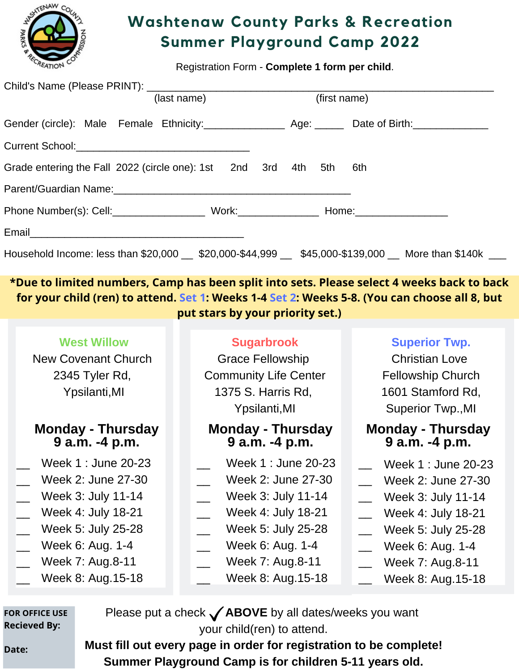

## **Washtenaw County Parks & Recreation Summer Playground Camp 2022**

Registration Form - **Complete 1 form per child**.

| (last name)                                                                                                    | (first name) |
|----------------------------------------------------------------------------------------------------------------|--------------|
| Gender (circle): Male Female Ethnicity: Age: Date of Birth: 1990 Age: Date of Birth:                           |              |
|                                                                                                                |              |
| Grade entering the Fall 2022 (circle one): 1st  2nd  3rd  4th  5th                                             | 6th          |
| Parent/Guardian Name: William Contract Contract Contract Contract Contract Contract Contract Contract Contract |              |
|                                                                                                                |              |
|                                                                                                                |              |
| Household Income: less than \$20,000 \$20,000-\$44,999 \$45,000-\$139,000 More than \$140k                     |              |

**\*Due to limited numbers, Camp has been split into sets. Please select 4 weeks back to back** for your child (ren) to attend. Set 1: Weeks 1-4 Set 2: Weeks 5-8. (You can choose all 8, but **put stars by your priority set.)**

| <b>West Willow</b><br>New Covenant Church<br>2345 Tyler Rd,<br>Ypsilanti, MI | <b>Sugarbrook</b><br><b>Grace Fellowship</b><br><b>Community Life Center</b><br>1375 S. Harris Rd,<br>Ypsilanti, MI | <b>Superior Twp.</b><br><b>Christian Love</b><br><b>Fellowship Church</b><br>1601 Stamford Rd,<br>Superior Twp., MI |
|------------------------------------------------------------------------------|---------------------------------------------------------------------------------------------------------------------|---------------------------------------------------------------------------------------------------------------------|
| <b>Monday - Thursday</b>                                                     | <b>Monday - Thursday</b>                                                                                            | <b>Monday - Thursday</b>                                                                                            |
| 9 a.m. -4 p.m.                                                               | 9 a.m. -4 p.m.                                                                                                      | 9 a.m. -4 p.m.                                                                                                      |
| Week 1 : June 20-23                                                          | Week 1 : June 20-23                                                                                                 | Week 1 : June 20-23                                                                                                 |
| Week 2: June 27-30                                                           | Week 2: June 27-30                                                                                                  | Week 2: June 27-30                                                                                                  |
| Week 3: July 11-14                                                           | Week 3: July 11-14                                                                                                  | Week 3: July 11-14                                                                                                  |
| Week 4: July 18-21                                                           | Week 4: July 18-21                                                                                                  | Week 4: July 18-21                                                                                                  |
| Week 5: July 25-28                                                           | Week 5: July 25-28                                                                                                  | Week 5: July 25-28                                                                                                  |
| Week 6: Aug. 1-4                                                             | Week 6: Aug. 1-4                                                                                                    | Week 6: Aug. 1-4                                                                                                    |
| Week 7: Aug.8-11                                                             | Week 7: Aug.8-11                                                                                                    | Week 7: Aug.8-11                                                                                                    |
| Week 8: Aug.15-18                                                            | Week 8: Aug.15-18                                                                                                   | Week 8: Aug.15-18                                                                                                   |

**FOR OFFICE USE Recieved By:**

**Date:**

Please put a check **ABOVE** by all dates/weeks you want your child(ren) to attend.

**Must fill out every page in order for registration to be complete! Summer Playground Camp is for children 5-11 years old.**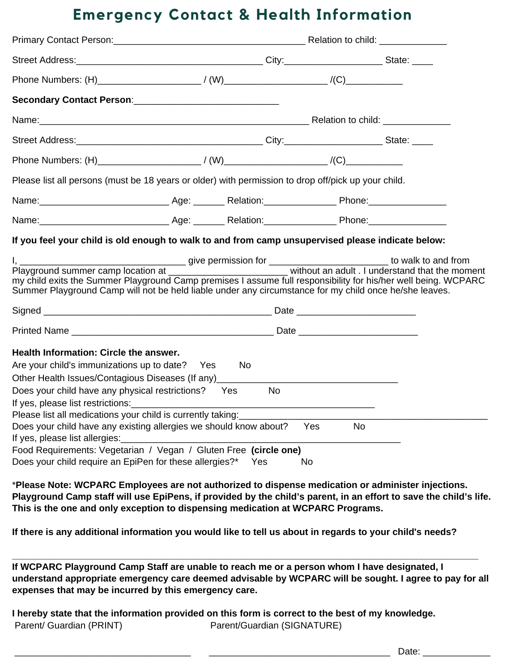### **Emergency Contact & Health Information**

|                                                                                                                                                                                                                                                                                                                                                                                                                                                                                                                                                                                 | Primary Contact Person: Notified All Annual Control of Primary Contact Person: Note and All Annual Control of Relation to child: |           |  |
|---------------------------------------------------------------------------------------------------------------------------------------------------------------------------------------------------------------------------------------------------------------------------------------------------------------------------------------------------------------------------------------------------------------------------------------------------------------------------------------------------------------------------------------------------------------------------------|----------------------------------------------------------------------------------------------------------------------------------|-----------|--|
|                                                                                                                                                                                                                                                                                                                                                                                                                                                                                                                                                                                 |                                                                                                                                  |           |  |
|                                                                                                                                                                                                                                                                                                                                                                                                                                                                                                                                                                                 |                                                                                                                                  |           |  |
| Secondary Contact Person: National Account of the Secondary Contact Person:                                                                                                                                                                                                                                                                                                                                                                                                                                                                                                     |                                                                                                                                  |           |  |
|                                                                                                                                                                                                                                                                                                                                                                                                                                                                                                                                                                                 |                                                                                                                                  |           |  |
|                                                                                                                                                                                                                                                                                                                                                                                                                                                                                                                                                                                 |                                                                                                                                  |           |  |
|                                                                                                                                                                                                                                                                                                                                                                                                                                                                                                                                                                                 |                                                                                                                                  |           |  |
| Please list all persons (must be 18 years or older) with permission to drop off/pick up your child.                                                                                                                                                                                                                                                                                                                                                                                                                                                                             |                                                                                                                                  |           |  |
|                                                                                                                                                                                                                                                                                                                                                                                                                                                                                                                                                                                 |                                                                                                                                  |           |  |
| Name: Mame: Mannell Age: Mannell Age: Mannell Age: Mannell Age: Mannell Age: Mannell Age: Mannell Age: Mannell Age: Mannell Age: Mannell Age: Mannell Age: Mannell Age: Mannell Age: Mannell Age: Mannell Age: Mannell Age: Ma                                                                                                                                                                                                                                                                                                                                                  |                                                                                                                                  |           |  |
| If you feel your child is old enough to walk to and from camp unsupervised please indicate below:                                                                                                                                                                                                                                                                                                                                                                                                                                                                               |                                                                                                                                  |           |  |
| my child exits the Summer Playground Camp premises I assume full responsibility for his/her well being. WCPARC<br>Summer Playground Camp will not be held liable under any circumstance for my child once he/she leaves.                                                                                                                                                                                                                                                                                                                                                        |                                                                                                                                  |           |  |
|                                                                                                                                                                                                                                                                                                                                                                                                                                                                                                                                                                                 |                                                                                                                                  |           |  |
|                                                                                                                                                                                                                                                                                                                                                                                                                                                                                                                                                                                 |                                                                                                                                  |           |  |
| Health Information: Circle the answer.<br>Are your child's immunizations up to date? Yes<br>Other Health Issues/Contagious Diseases (If any)<br>Does your child have any physical restrictions? Yes<br>Please list all medications your child is currently taking:<br>Does your child have any existing allergies we should know about?<br>If yes, please list allergies: <b>with the set of the set of the set of the set of the set of the set of the set of the set of the set of the set of the set of the set of the set of the set of the set of the set of the set o</b> | No.<br><b>No</b>                                                                                                                 | Yes<br>No |  |
| Food Requirements: Vegetarian / Vegan / Gluten Free (circle one)<br>Does your child require an EpiPen for these allergies?*  Yes                                                                                                                                                                                                                                                                                                                                                                                                                                                |                                                                                                                                  | No        |  |

\***Please Note: WCPARC Employees are not authorized to dispense medication or administer injections.** Playground Camp staff will use EpiPens, if provided by the child's parent, in an effort to save the child's life. **This is the one and only exception to dispensing medication at WCPARC Programs.**

If there is any additional information you would like to tell us about in regards to your child's needs?

**If WCPARC Playground Camp Staff are unable to reach me or a person whom I have designated, I understand appropriate emergency care deemed advisable by WCPARC will be sought. I agree to pay for all expenses that may be incurred by this emergency care.**

**\_\_\_\_\_\_\_\_\_\_\_\_\_\_\_\_\_\_\_\_\_\_\_\_\_\_\_\_\_\_\_\_\_\_\_\_\_\_\_\_\_\_\_\_\_\_\_\_\_\_\_\_\_\_\_\_\_\_\_\_\_\_\_\_\_\_\_\_\_\_\_\_\_\_\_\_\_\_\_\_\_\_\_\_\_\_\_\_\_\_**

**I hereby state that the information provided on this form is correct to the best of my knowledge.** Parent/ Guardian (PRINT) Parent/Guardian (SIGNATURE)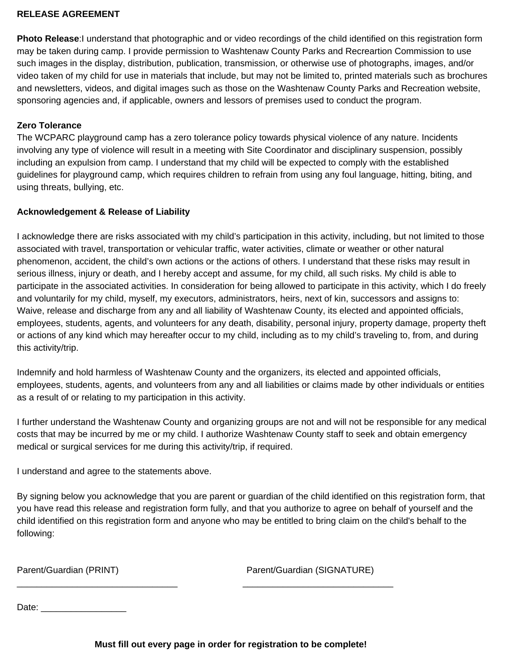#### **RELEASE AGREEMENT**

**Photo Release**:I understand that photographic and or video recordings of the child identified on this registration form may be taken during camp. I provide permission to Washtenaw County Parks and Recreartion Commission to use such images in the display, distribution, publication, transmission, or otherwise use of photographs, images, and/or video taken of my child for use in materials that include, but may not be limited to, printed materials such as brochures and newsletters, videos, and digital images such as those on the Washtenaw County Parks and Recreation website, sponsoring agencies and, if applicable, owners and lessors of premises used to conduct the program.

#### **Zero Tolerance**

The WCPARC playground camp has a zero tolerance policy towards physical violence of any nature. Incidents involving any type of violence will result in a meeting with Site Coordinator and disciplinary suspension, possibly including an expulsion from camp. I understand that my child will be expected to comply with the established guidelines for playground camp, which requires children to refrain from using any foul language, hitting, biting, and using threats, bullying, etc.

#### **Acknowledgement & Release of Liability**

I acknowledge there are risks associated with my child's participation in this activity, including, but not limited to those associated with travel, transportation or vehicular traffic, water activities, climate or weather or other natural phenomenon, accident, the child's own actions or the actions of others. I understand that these risks may result in serious illness, injury or death, and I hereby accept and assume, for my child, all such risks. My child is able to participate in the associated activities. In consideration for being allowed to participate in this activity, which I do freely and voluntarily for my child, myself, my executors, administrators, heirs, next of kin, successors and assigns to: Waive, release and discharge from any and all liability of Washtenaw County, its elected and appointed officials, employees, students, agents, and volunteers for any death, disability, personal injury, property damage, property theft or actions of any kind which may hereafter occur to my child, including as to my child's traveling to, from, and during this activity/trip.

Indemnify and hold harmless of Washtenaw County and the organizers, its elected and appointed officials, employees, students, agents, and volunteers from any and all liabilities or claims made by other individuals or entities as a result of or relating to my participation in this activity.

I further understand the Washtenaw County and organizing groups are not and will not be responsible for any medical costs that may be incurred by me or my child. I authorize Washtenaw County staff to seek and obtain emergency medical or surgical services for me during this activity/trip, if required.

I understand and agree to the statements above.

By signing below you acknowledge that you are parent or guardian of the child identified on this registration form, that you have read this release and registration form fully, and that you authorize to agree on behalf of yourself and the child identified on this registration form and anyone who may be entitled to bring claim on the child's behalf to the following:

Parent/Guardian (PRINT) Parent/Guardian (SIGNATURE)

Date: \_\_\_\_\_\_\_\_\_\_\_\_\_\_\_\_\_

\_\_\_\_\_\_\_\_\_\_\_\_\_\_\_\_\_\_\_\_\_\_\_\_\_\_\_\_\_\_\_\_ \_\_\_\_\_\_\_\_\_\_\_\_\_\_\_\_\_\_\_\_\_\_\_\_\_\_\_\_\_\_